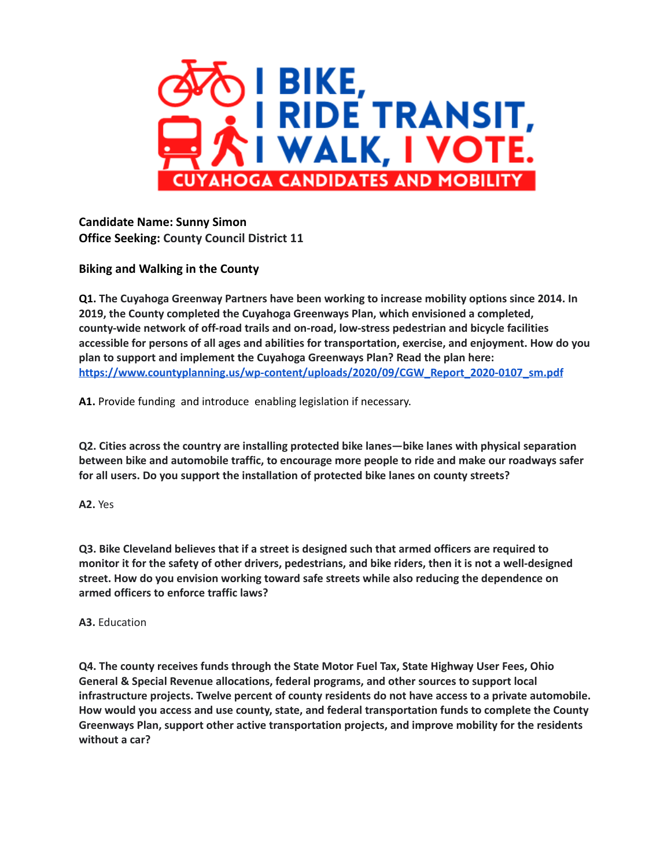

**Candidate Name: Sunny Simon Office Seeking: County Council District 11**

**Biking and Walking in the County**

**Q1. The Cuyahoga Greenway Partners have been working to increase mobility options since 2014. In 2019, the County completed the Cuyahoga Greenways Plan, which envisioned a completed, county-wide network of off-road trails and on-road, low-stress pedestrian and bicycle facilities accessible for persons of all ages and abilities for transportation, exercise, and enjoyment. How do you plan to support and implement the Cuyahoga Greenways Plan? Read the plan here: [https://www.countyplanning.us/wp-content/uploads/2020/09/CGW\\_Report\\_2020-0107\\_sm.pdf](https://www.countyplanning.us/wp-content/uploads/2020/09/CGW_Report_2020-0107_sm.pdf)**

**A1.** Provide funding and introduce enabling legislation if necessary.

**Q2. Cities across the country are installing protected bike lanes—bike lanes with physical separation between bike and automobile traffic, to encourage more people to ride and make our roadways safer for all users. Do you support the installation of protected bike lanes on county streets?**

**A2.** Yes

**Q3. Bike Cleveland believes that if a street is designed such that armed officers are required to** monitor it for the safety of other drivers, pedestrians, and bike riders, then it is not a well-designed **street. How do you envision working toward safe streets while also reducing the dependence on armed officers to enforce traffic laws?**

**A3.** Education

**Q4. The county receives funds through the State Motor Fuel Tax, State Highway User Fees, Ohio General & Special Revenue allocations, federal programs, and other sources to support local infrastructure projects. Twelve percent of county residents do not have access to a private automobile. How would you access and use county, state, and federal transportation funds to complete the County Greenways Plan, support other active transportation projects, and improve mobility for the residents without a car?**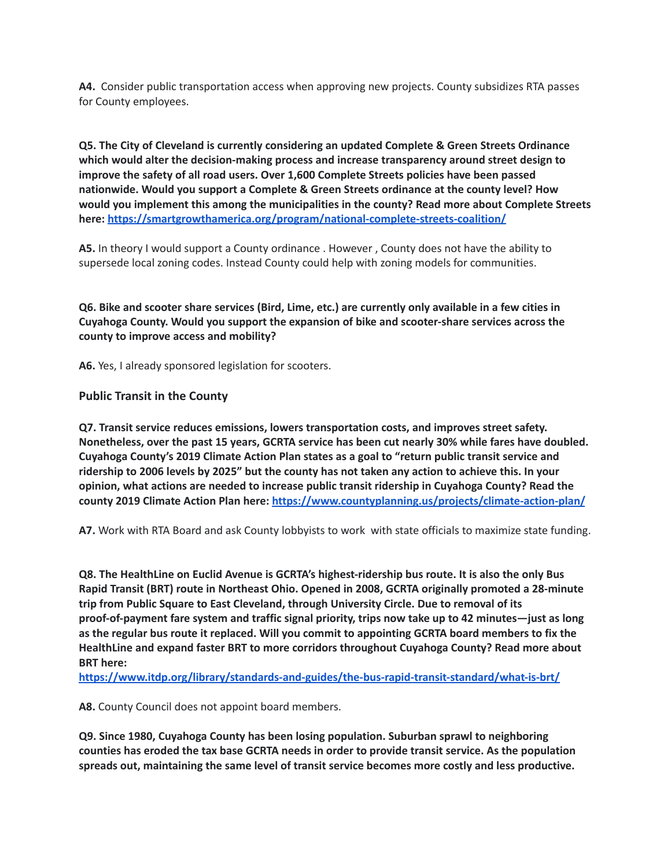**A4.** Consider public transportation access when approving new projects. County subsidizes RTA passes for County employees.

**Q5. The City of Cleveland is currently considering an updated Complete & Green Streets Ordinance which would alter the decision-making process and increase transparency around street design to improve the safety of all road users. Over 1,600 Complete Streets policies have been passed nationwide. Would you support a Complete & Green Streets ordinance at the county level? How would you implement this among the municipalities in the county? Read more about Complete Streets here: <https://smartgrowthamerica.org/program/national-complete-streets-coalition/>**

**A5.** In theory I would support a County ordinance . However , County does not have the ability to supersede local zoning codes. Instead County could help with zoning models for communities.

Q6. Bike and scooter share services (Bird, Lime, etc.) are currently only available in a few cities in **Cuyahoga County. Would you support the expansion of bike and scooter-share services across the county to improve access and mobility?**

**A6.** Yes, I already sponsored legislation for scooters.

## **Public Transit in the County**

**Q7. Transit service reduces emissions, lowers transportation costs, and improves street safety. Nonetheless, over the past 15 years, GCRTA service has been cut nearly 30% while fares have doubled. Cuyahoga County's 2019 Climate Action Plan states as a goal to "return public transit service and** ridership to 2006 levels by 2025" but the county has not taken any action to achieve this. In your **opinion, what actions are needed to increase public transit ridership in Cuyahoga County? Read the county 2019 Climate Action Plan here: <https://www.countyplanning.us/projects/climate-action-plan/>**

**A7.** Work with RTA Board and ask County lobbyists to work with state officials to maximize state funding.

**Q8. The HealthLine on Euclid Avenue is GCRTA's highest-ridership bus route. It is also the only Bus Rapid Transit (BRT) route in Northeast Ohio. Opened in 2008, GCRTA originally promoted a 28-minute trip from Public Square to East Cleveland, through University Circle. Due to removal of its proof-of-payment fare system and traffic signal priority, trips now take up to 42 minutes—just as long as the regular bus route it replaced. Will you commit to appointing GCRTA board members to fix the HealthLine and expand faster BRT to more corridors throughout Cuyahoga County? Read more about BRT here:**

**<https://www.itdp.org/library/standards-and-guides/the-bus-rapid-transit-standard/what-is-brt/>**

**A8.** County Council does not appoint board members.

**Q9. Since 1980, Cuyahoga County has been losing population. Suburban sprawl to neighboring counties has eroded the tax base GCRTA needs in order to provide transit service. As the population spreads out, maintaining the same level of transit service becomes more costly and less productive.**